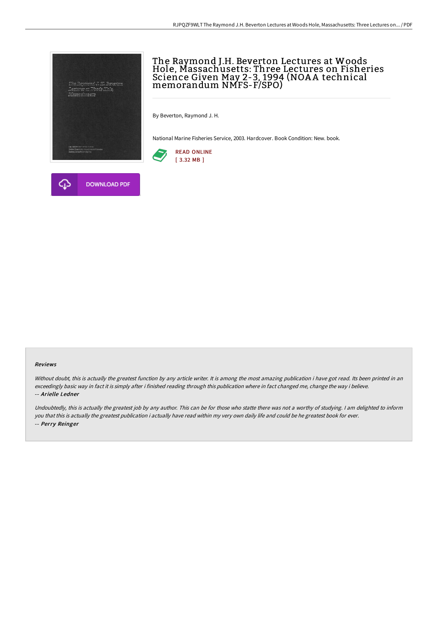

# The Raymond J.H. Beverton Lectures at Woods Hole, Massachusetts: Three Lectures on Fisheries Science Given May 2-3, 1994 (NOAA technical memorandum NMFS-F/SPO)

By Beverton, Raymond J. H.

National Marine Fisheries Service, 2003. Hardcover. Book Condition: New. book.





#### Reviews

Without doubt, this is actually the greatest function by any article writer. It is among the most amazing publication i have got read. Its been printed in an exceedingly basic way in fact it is simply after i finished reading through this publication where in fact changed me, change the way i believe. -- Arielle Ledner

Undoubtedly, this is actually the greatest job by any author. This can be for those who statte there was not <sup>a</sup> worthy of studying. <sup>I</sup> am delighted to inform you that this is actually the greatest publication i actually have read within my very own daily life and could be he greatest book for ever. -- Perry Reinger